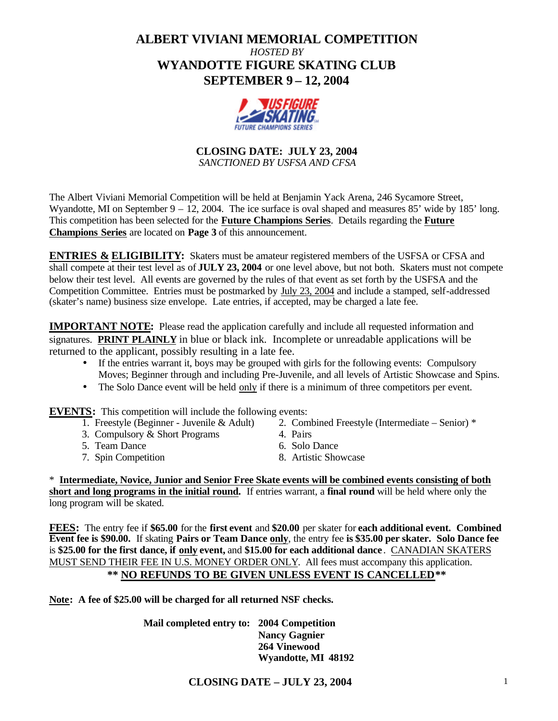# **ALBERT VIVIANI MEMORIAL COMPETITION** *HOSTED BY* **WYANDOTTE FIGURE SKATING CLUB SEPTEMBER 9 – 12, 2004**



**CLOSING DATE: JULY 23, 2004** *SANCTIONED BY USFSA AND CFSA*

The Albert Viviani Memorial Competition will be held at Benjamin Yack Arena, 246 Sycamore Street, Wyandotte, MI on September 9 – 12, 2004. The ice surface is oval shaped and measures 85' wide by 185' long. This competition has been selected for the **Future Champions Series**. Details regarding the **Future Champions Series** are located on **Page 3** of this announcement.

**ENTRIES & ELIGIBILITY:** Skaters must be amateur registered members of the USFSA or CFSA and shall compete at their test level as of **JULY 23, 2004** or one level above, but not both. Skaters must not compete below their test level. All events are governed by the rules of that event as set forth by the USFSA and the Competition Committee. Entries must be postmarked by July 23, 2004 and include a stamped, self-addressed (skater's name) business size envelope. Late entries, if accepted, may be charged a late fee.

**IMPORTANT NOTE:** Please read the application carefully and include all requested information and signatures. **PRINT PLAINLY** in blue or black ink. Incomplete or unreadable applications will be returned to the applicant, possibly resulting in a late fee.

- If the entries warrant it, boys may be grouped with girls for the following events: Compulsory Moves; Beginner through and including Pre-Juvenile, and all levels of Artistic Showcase and Spins.
- The Solo Dance event will be held only if there is a minimum of three competitors per event.

**EVENTS:** This competition will include the following events:<br>1. Freestyle (Beginner - Juvenile & Adult) 2. Com

- 
- 3. Compulsory & Short Programs 4. Pairs
- 5. Team Dance 6. Solo Dance
- 
- 2. Combined Freestyle (Intermediate Senior) \*
- 
- 
- 7. Spin Competition 8. Artistic Showcase

\* **Intermediate, Novice, Junior and Senior Free Skate events will be combined events consisting of both short and long programs in the initial round.** If entries warrant, a **final round** will be held where only the long program will be skated.

**FEES:** The entry fee if **\$65.00** for the **first event** and **\$20.00** per skater for **each additional event. Combined Event fee is \$90.00.** If skating **Pairs or Team Dance only**, the entry fee **is \$35.00 per skater. Solo Dance fee** is **\$25.00 for the first dance, if only event,** and **\$15.00 for each additional dance** . CANADIAN SKATERS MUST SEND THEIR FEE IN U.S. MONEY ORDER ONLY. All fees must accompany this application. **\*\* NO REFUNDS TO BE GIVEN UNLESS EVENT IS CANCELLED\*\***

**Note: A fee of \$25.00 will be charged for all returned NSF checks.**

**Mail completed entry to: 2004 Competition Nancy Gagnier 264 Vinewood Wyandotte, MI 48192**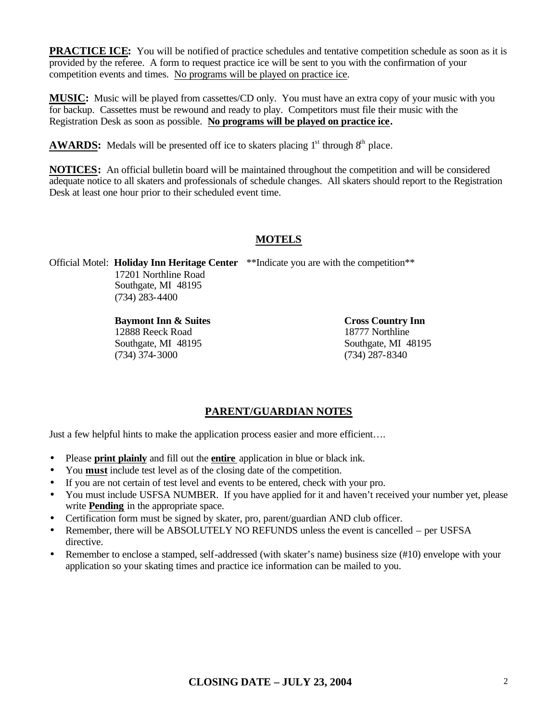**PRACTICE ICE:** You will be notified of practice schedules and tentative competition schedule as soon as it is provided by the referee. A form to request practice ice will be sent to you with the confirmation of your competition events and times. No programs will be played on practice ice.

**MUSIC:** Music will be played from cassettes/CD only. You must have an extra copy of your music with you for backup. Cassettes must be rewound and ready to play. Competitors must file their music with the Registration Desk as soon as possible. **No programs will be played on practice ice.**

**AWARDS:** Medals will be presented off ice to skaters placing  $1<sup>st</sup>$  through  $8<sup>th</sup>$  place.

**NOTICES:** An official bulletin board will be maintained throughout the competition and will be considered adequate notice to all skaters and professionals of schedule changes. All skaters should report to the Registration Desk at least one hour prior to their scheduled event time.

## **MOTELS**

Official Motel: **Holiday Inn Heritage Center** \*\*Indicate you are with the competition\*\* 17201 Northline Road Southgate, MI 48195 (734) 283-4400

> **Baymont Inn & Suites Cross Country Inn** 12888 Reeck Road 18777 Northline Southgate, MI 48195 Southgate, MI 48195 (734) 374-3000 (734) 287-8340

## **PARENT/GUARDIAN NOTES**

Just a few helpful hints to make the application process easier and more efficient….

- Please **print plainly** and fill out the **entire** application in blue or black ink.
- You **must** include test level as of the closing date of the competition.
- If you are not certain of test level and events to be entered, check with your pro.
- You must include USFSA NUMBER. If you have applied for it and haven't received your number yet, please write **Pending** in the appropriate space.
- Certification form must be signed by skater, pro, parent/guardian AND club officer.
- Remember, there will be ABSOLUTELY NO REFUNDS unless the event is cancelled per USFSA directive.
- Remember to enclose a stamped, self-addressed (with skater's name) business size (#10) envelope with your application so your skating times and practice ice information can be mailed to you.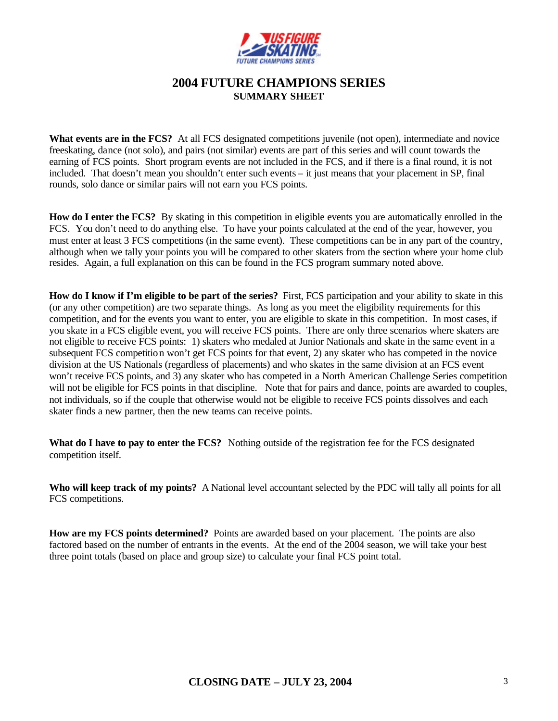

## **2004 FUTURE CHAMPIONS SERIES SUMMARY SHEET**

**What events are in the FCS?** At all FCS designated competitions juvenile (not open), intermediate and novice freeskating, dance (not solo), and pairs (not similar) events are part of this series and will count towards the earning of FCS points. Short program events are not included in the FCS, and if there is a final round, it is not included. That doesn't mean you shouldn't enter such events – it just means that your placement in SP, final rounds, solo dance or similar pairs will not earn you FCS points.

**How do I enter the FCS?** By skating in this competition in eligible events you are automatically enrolled in the FCS. You don't need to do anything else. To have your points calculated at the end of the year, however, you must enter at least 3 FCS competitions (in the same event). These competitions can be in any part of the country, although when we tally your points you will be compared to other skaters from the section where your home club resides. Again, a full explanation on this can be found in the FCS program summary noted above.

**How do I know if I'm eligible to be part of the series?** First, FCS participation and your ability to skate in this (or any other competition) are two separate things. As long as you meet the eligibility requirements for this competition, and for the events you want to enter, you are eligible to skate in this competition. In most cases, if you skate in a FCS eligible event, you will receive FCS points. There are only three scenarios where skaters are not eligible to receive FCS points: 1) skaters who medaled at Junior Nationals and skate in the same event in a subsequent FCS competition won't get FCS points for that event, 2) any skater who has competed in the novice division at the US Nationals (regardless of placements) and who skates in the same division at an FCS event won't receive FCS points, and 3) any skater who has competed in a North American Challenge Series competition will not be eligible for FCS points in that discipline. Note that for pairs and dance, points are awarded to couples, not individuals, so if the couple that otherwise would not be eligible to receive FCS points dissolves and each skater finds a new partner, then the new teams can receive points.

What do I have to pay to enter the FCS? Nothing outside of the registration fee for the FCS designated competition itself.

**Who will keep track of my points?** A National level accountant selected by the PDC will tally all points for all FCS competitions.

**How are my FCS points determined?** Points are awarded based on your placement. The points are also factored based on the number of entrants in the events. At the end of the 2004 season, we will take your best three point totals (based on place and group size) to calculate your final FCS point total.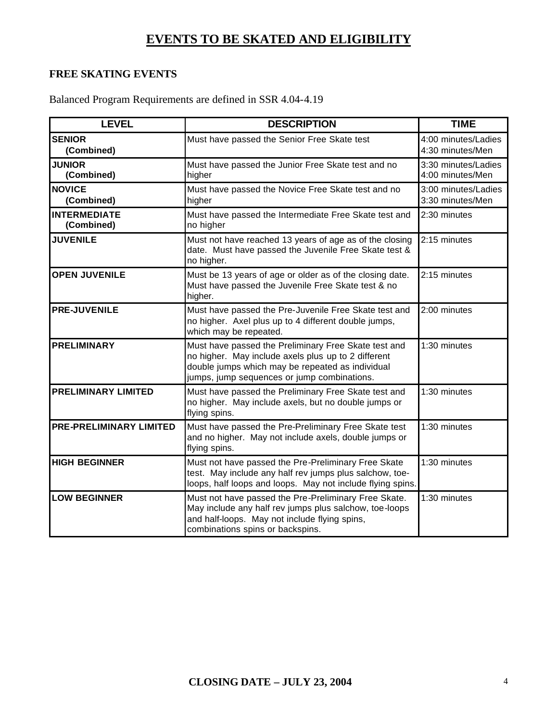# **EVENTS TO BE SKATED AND ELIGIBILITY**

# **FREE SKATING EVENTS**

Balanced Program Requirements are defined in SSR 4.04-4.19

| <b>LEVEL</b>                      | <b>DESCRIPTION</b>                                                                                                                                                                                             | <b>TIME</b>                             |
|-----------------------------------|----------------------------------------------------------------------------------------------------------------------------------------------------------------------------------------------------------------|-----------------------------------------|
| <b>SENIOR</b><br>(Combined)       | Must have passed the Senior Free Skate test                                                                                                                                                                    | 4:00 minutes/Ladies<br>4:30 minutes/Men |
| <b>JUNIOR</b><br>(Combined)       | Must have passed the Junior Free Skate test and no<br>3:30 minutes/Ladies<br>4:00 minutes/Men<br>higher                                                                                                        |                                         |
| <b>NOVICE</b><br>(Combined)       | Must have passed the Novice Free Skate test and no<br>higher                                                                                                                                                   | 3:00 minutes/Ladies<br>3:30 minutes/Men |
| <b>INTERMEDIATE</b><br>(Combined) | Must have passed the Intermediate Free Skate test and<br>no higher                                                                                                                                             | 2:30 minutes                            |
| <b>JUVENILE</b>                   | Must not have reached 13 years of age as of the closing<br>date. Must have passed the Juvenile Free Skate test &<br>no higher.                                                                                 | 2:15 minutes                            |
| <b>OPEN JUVENILE</b>              | Must be 13 years of age or older as of the closing date.<br>Must have passed the Juvenile Free Skate test & no<br>higher.                                                                                      | 2:15 minutes                            |
| <b>PRE-JUVENILE</b>               | Must have passed the Pre-Juvenile Free Skate test and<br>2:00 minutes<br>no higher. Axel plus up to 4 different double jumps,<br>which may be repeated.                                                        |                                         |
| <b>PRELIMINARY</b>                | Must have passed the Preliminary Free Skate test and<br>no higher. May include axels plus up to 2 different<br>double jumps which may be repeated as individual<br>jumps, jump sequences or jump combinations. | 1:30 minutes                            |
| <b>PRELIMINARY LIMITED</b>        | Must have passed the Preliminary Free Skate test and<br>no higher. May include axels, but no double jumps or<br>flying spins.                                                                                  | 1:30 minutes                            |
| <b>PRE-PRELIMINARY LIMITED</b>    | Must have passed the Pre-Preliminary Free Skate test<br>and no higher. May not include axels, double jumps or<br>flying spins.                                                                                 | 1:30 minutes                            |
| <b>HIGH BEGINNER</b>              | Must not have passed the Pre-Preliminary Free Skate<br>test. May include any half rev jumps plus salchow, toe-<br>loops, half loops and loops. May not include flying spins.                                   | 1:30 minutes                            |
| <b>LOW BEGINNER</b>               | Must not have passed the Pre-Preliminary Free Skate.<br>May include any half rev jumps plus salchow, toe-loops<br>and half-loops. May not include flying spins,<br>combinations spins or backspins.            | 1:30 minutes                            |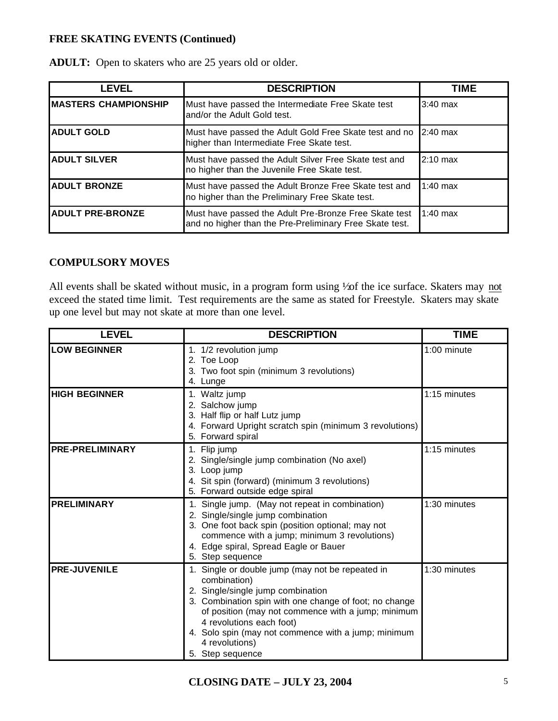## **FREE SKATING EVENTS (Continued)**

| LEVEL                        | <b>DESCRIPTION</b>                                                                                               | <b>TIME</b> |
|------------------------------|------------------------------------------------------------------------------------------------------------------|-------------|
| <b>IMASTERS CHAMPIONSHIP</b> | Must have passed the Intermediate Free Skate test<br>and/or the Adult Gold test.                                 | $3:40$ max  |
| <b>ADULT GOLD</b>            | Must have passed the Adult Gold Free Skate test and no<br>higher than Intermediate Free Skate test.              | $2:40$ max  |
| <b>ADULT SILVER</b>          | Must have passed the Adult Silver Free Skate test and<br>no higher than the Juvenile Free Skate test.            | $2:10$ max  |
| <b>ADULT BRONZE</b>          | Must have passed the Adult Bronze Free Skate test and<br>no higher than the Preliminary Free Skate test.         | $1:40$ max  |
| <b>ADULT PRE-BRONZE</b>      | Must have passed the Adult Pre-Bronze Free Skate test<br>and no higher than the Pre-Preliminary Free Skate test. | $1:40$ max  |

**ADULT:** Open to skaters who are 25 years old or older.

#### **COMPULSORY MOVES**

All events shall be skated without music, in a program form using  $\frac{1}{2}$  and the ice surface. Skaters may not exceed the stated time limit. Test requirements are the same as stated for Freestyle. Skaters may skate up one level but may not skate at more than one level.

| <b>LEVEL</b>           | <b>DESCRIPTION</b>                                                                                                                                                                                                                                                                                                                             | <b>TIME</b>  |
|------------------------|------------------------------------------------------------------------------------------------------------------------------------------------------------------------------------------------------------------------------------------------------------------------------------------------------------------------------------------------|--------------|
| <b>LOW BEGINNER</b>    | 1. 1/2 revolution jump<br>2. Toe Loop<br>3. Two foot spin (minimum 3 revolutions)<br>4. Lunge                                                                                                                                                                                                                                                  | 1:00 minute  |
| <b>HIGH BEGINNER</b>   | 1. Waltz jump<br>2. Salchow jump<br>3. Half flip or half Lutz jump<br>4. Forward Upright scratch spin (minimum 3 revolutions)<br>5. Forward spiral                                                                                                                                                                                             | 1:15 minutes |
| <b>PRE-PRELIMINARY</b> | 1. Flip jump<br>2. Single/single jump combination (No axel)<br>3. Loop jump<br>4. Sit spin (forward) (minimum 3 revolutions)<br>5. Forward outside edge spiral                                                                                                                                                                                 | 1:15 minutes |
| <b>PRELIMINARY</b>     | 1. Single jump. (May not repeat in combination)<br>2. Single/single jump combination<br>3. One foot back spin (position optional; may not<br>commence with a jump; minimum 3 revolutions)<br>4. Edge spiral, Spread Eagle or Bauer<br>5. Step sequence                                                                                         | 1:30 minutes |
| <b>PRE-JUVENILE</b>    | 1. Single or double jump (may not be repeated in<br>combination)<br>2. Single/single jump combination<br>3. Combination spin with one change of foot; no change<br>of position (may not commence with a jump; minimum<br>4 revolutions each foot)<br>4. Solo spin (may not commence with a jump; minimum<br>4 revolutions)<br>5. Step sequence | 1:30 minutes |

**CLOSING DATE – JULY 23, 2004** 5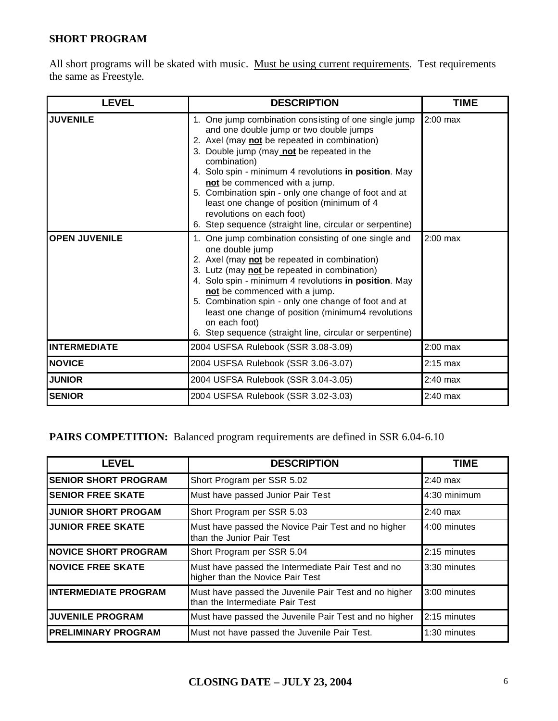# **SHORT PROGRAM**

All short programs will be skated with music. Must be using current requirements. Test requirements the same as Freestyle.

| <b>LEVEL</b>         | <b>DESCRIPTION</b>                                                                                                                                                                                                                                                                                                                                                                                                                                                                                      | <b>TIME</b> |
|----------------------|---------------------------------------------------------------------------------------------------------------------------------------------------------------------------------------------------------------------------------------------------------------------------------------------------------------------------------------------------------------------------------------------------------------------------------------------------------------------------------------------------------|-------------|
| <b>JUVENILE</b>      | 1. One jump combination consisting of one single jump<br>and one double jump or two double jumps<br>2. Axel (may not be repeated in combination)<br>3. Double jump (may not be repeated in the<br>combination)<br>4. Solo spin - minimum 4 revolutions in position. May<br>not be commenced with a jump.<br>5. Combination spin - only one change of foot and at<br>least one change of position (minimum of 4<br>revolutions on each foot)<br>6. Step sequence (straight line, circular or serpentine) | $2:00$ max  |
| <b>OPEN JUVENILE</b> | 1. One jump combination consisting of one single and<br>one double jump<br>2. Axel (may not be repeated in combination)<br>3. Lutz (may not be repeated in combination)<br>4. Solo spin - minimum 4 revolutions in position. May<br>not be commenced with a jump.<br>5. Combination spin - only one change of foot and at<br>least one change of position (minimum4 revolutions<br>on each foot)<br>6. Step sequence (straight line, circular or serpentine)                                            | $2:00$ max  |
| <b>INTERMEDIATE</b>  | 2004 USFSA Rulebook (SSR 3.08-3.09)                                                                                                                                                                                                                                                                                                                                                                                                                                                                     | $2:00$ max  |
| <b>NOVICE</b>        | 2004 USFSA Rulebook (SSR 3.06-3.07)                                                                                                                                                                                                                                                                                                                                                                                                                                                                     | $2:15$ max  |
| <b>JUNIOR</b>        | 2004 USFSA Rulebook (SSR 3.04-3.05)                                                                                                                                                                                                                                                                                                                                                                                                                                                                     | $2:40$ max  |
| <b>SENIOR</b>        | 2004 USFSA Rulebook (SSR 3.02-3.03)                                                                                                                                                                                                                                                                                                                                                                                                                                                                     | $2:40$ max  |

PAIRS COMPETITION: Balanced program requirements are defined in SSR 6.04-6.10

| <b>LEVEL</b>                | <b>DESCRIPTION</b>                                                                       | <b>TIME</b>  |
|-----------------------------|------------------------------------------------------------------------------------------|--------------|
| <b>SENIOR SHORT PROGRAM</b> | Short Program per SSR 5.02                                                               | $2:40$ max   |
| <b>SENIOR FREE SKATE</b>    | Must have passed Junior Pair Test                                                        | 4:30 minimum |
| <b>JUNIOR SHORT PROGAM</b>  | Short Program per SSR 5.03                                                               | $2:40$ max   |
| <b>JUNIOR FREE SKATE</b>    | Must have passed the Novice Pair Test and no higher<br>than the Junior Pair Test         | 4:00 minutes |
| <b>NOVICE SHORT PROGRAM</b> | Short Program per SSR 5.04                                                               | 2:15 minutes |
| <b>INOVICE FREE SKATE</b>   | Must have passed the Intermediate Pair Test and no<br>higher than the Novice Pair Test   | 3:30 minutes |
| <b>INTERMEDIATE PROGRAM</b> | Must have passed the Juvenile Pair Test and no higher<br>than the Intermediate Pair Test | 3:00 minutes |
| <b>JUVENILE PROGRAM</b>     | Must have passed the Juvenile Pair Test and no higher                                    | 2:15 minutes |
| <b>PRELIMINARY PROGRAM</b>  | Must not have passed the Juvenile Pair Test.                                             | 1:30 minutes |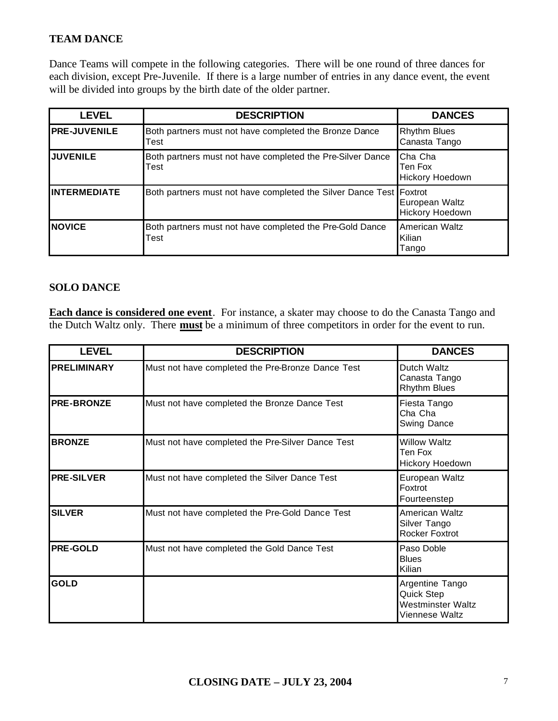# **TEAM DANCE**

Dance Teams will compete in the following categories. There will be one round of three dances for each division, except Pre-Juvenile. If there is a large number of entries in any dance event, the event will be divided into groups by the birth date of the older partner.

| <b>LEVEL</b>        | <b>DESCRIPTION</b>                                                  | <b>DANCES</b>                         |
|---------------------|---------------------------------------------------------------------|---------------------------------------|
| <b>PRE-JUVENILE</b> | Both partners must not have completed the Bronze Dance<br>Test      | <b>Rhythm Blues</b><br>Canasta Tango  |
| <b>JUVENILE</b>     | Both partners must not have completed the Pre-Silver Dance<br>Test  | Cha Cha<br>Ten Fox<br>Hickory Hoedown |
| <b>INTERMEDIATE</b> | Both partners must not have completed the Silver Dance Test Foxtrot | European Waltz<br>Hickory Hoedown     |
| <b>NOVICE</b>       | Both partners must not have completed the Pre-Gold Dance<br>Test    | American Waltz<br>Kilian<br>Tango     |

#### **SOLO DANCE**

**Each dance is considered one event**. For instance, a skater may choose to do the Canasta Tango and the Dutch Waltz only. There **must** be a minimum of three competitors in order for the event to run.

| <b>LEVEL</b>       | <b>DESCRIPTION</b>                                | <b>DANCES</b>                                                               |
|--------------------|---------------------------------------------------|-----------------------------------------------------------------------------|
| <b>PRELIMINARY</b> | Must not have completed the Pre-Bronze Dance Test | Dutch Waltz<br>Canasta Tango<br><b>Rhythm Blues</b>                         |
| <b>PRE-BRONZE</b>  | Must not have completed the Bronze Dance Test     | Fiesta Tango<br>Cha Cha<br>Swing Dance                                      |
| <b>BRONZE</b>      | Must not have completed the Pre-Silver Dance Test | <b>Willow Waltz</b><br>Ten Fox<br>Hickory Hoedown                           |
| <b>PRE-SILVER</b>  | Must not have completed the Silver Dance Test     | European Waltz<br>Foxtrot<br>Fourteenstep                                   |
| <b>SILVER</b>      | Must not have completed the Pre-Gold Dance Test   | American Waltz<br>Silver Tango<br><b>Rocker Foxtrot</b>                     |
| <b>PRE-GOLD</b>    | Must not have completed the Gold Dance Test       | Paso Doble<br><b>Blues</b><br>Kilian                                        |
| <b>GOLD</b>        |                                                   | Argentine Tango<br>Quick Step<br><b>Westminster Waltz</b><br>Viennese Waltz |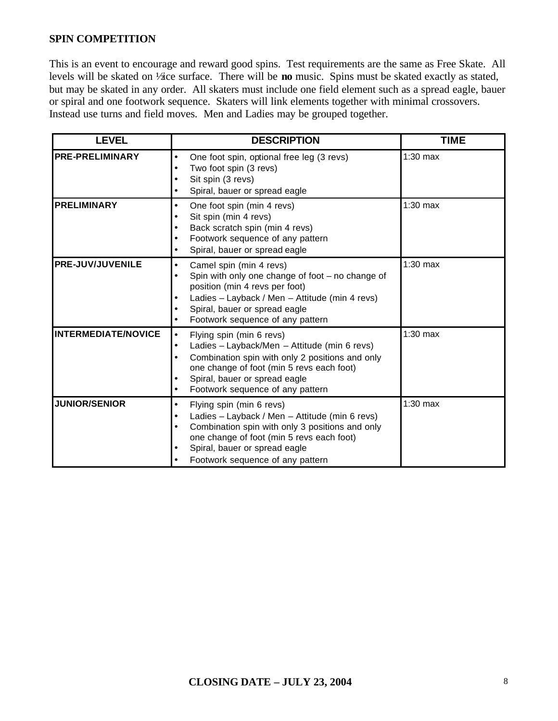#### **SPIN COMPETITION**

This is an event to encourage and reward good spins. Test requirements are the same as Free Skate. All levels will be skated on <sup>1</sup>/<sub>2</sub> ice surface. There will be **no** music. Spins must be skated exactly as stated, but may be skated in any order. All skaters must include one field element such as a spread eagle, bauer or spiral and one footwork sequence. Skaters will link elements together with minimal crossovers. Instead use turns and field moves. Men and Ladies may be grouped together.

| <b>LEVEL</b>               | <b>DESCRIPTION</b>                                                                                                                                                                                                                                                                                     | <b>TIME</b> |
|----------------------------|--------------------------------------------------------------------------------------------------------------------------------------------------------------------------------------------------------------------------------------------------------------------------------------------------------|-------------|
| <b>PRE-PRELIMINARY</b>     | One foot spin, optional free leg (3 revs)<br>$\bullet$<br>Two foot spin (3 revs)<br>$\bullet$<br>Sit spin (3 revs)<br>٠<br>Spiral, bauer or spread eagle<br>$\bullet$                                                                                                                                  | $1:30$ max  |
| <b>PRELIMINARY</b>         | One foot spin (min 4 revs)<br>$\bullet$<br>Sit spin (min 4 revs)<br>$\bullet$<br>Back scratch spin (min 4 revs)<br>$\bullet$<br>Footwork sequence of any pattern<br>$\bullet$<br>Spiral, bauer or spread eagle<br>$\bullet$                                                                            | $1:30$ max  |
| <b>PRE-JUV/JUVENILE</b>    | Camel spin (min 4 revs)<br>$\bullet$<br>Spin with only one change of foot $-$ no change of<br>$\bullet$<br>position (min 4 revs per foot)<br>Ladies - Layback / Men - Attitude (min 4 revs)<br>٠<br>Spiral, bauer or spread eagle<br>$\bullet$<br>Footwork sequence of any pattern<br>$\bullet$        | $1:30$ max  |
| <b>INTERMEDIATE/NOVICE</b> | Flying spin (min 6 revs)<br>$\bullet$<br>Ladies - Layback/Men - Attitude (min 6 revs)<br>$\bullet$<br>Combination spin with only 2 positions and only<br>$\bullet$<br>one change of foot (min 5 revs each foot)<br>Spiral, bauer or spread eagle<br>٠<br>Footwork sequence of any pattern<br>$\bullet$ | $1:30$ max  |
| <b>JUNIOR/SENIOR</b>       | Flying spin (min 6 revs)<br>$\bullet$<br>Ladies - Layback / Men - Attitude (min 6 revs)<br>$\bullet$<br>Combination spin with only 3 positions and only<br>$\bullet$<br>one change of foot (min 5 revs each foot)<br>Spiral, bauer or spread eagle<br>$\bullet$<br>Footwork sequence of any pattern    | $1:30$ max  |